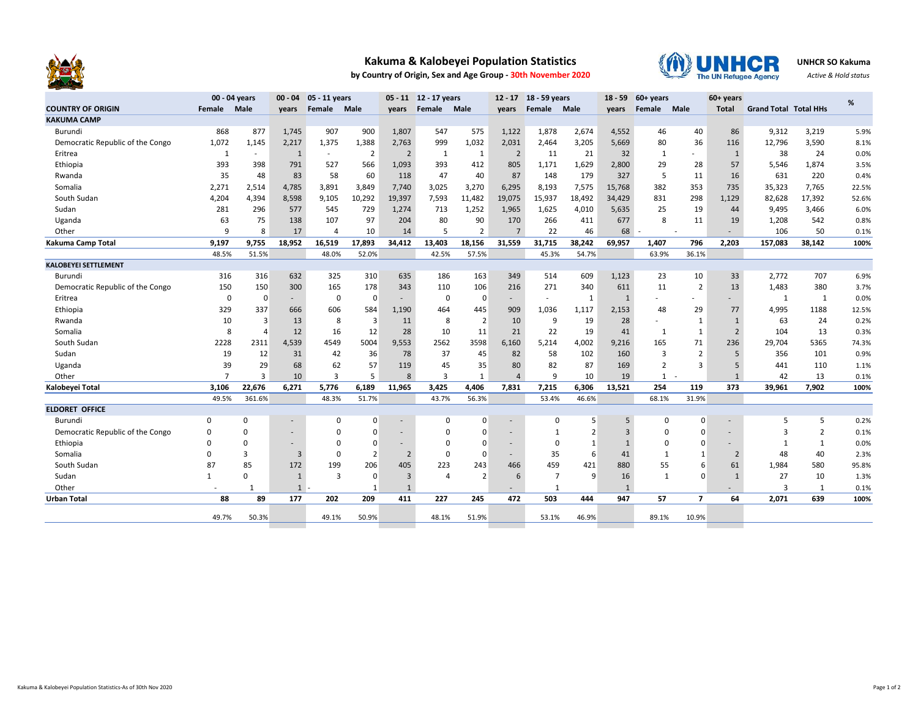

## **Kakuma & Kalobeyei Population Statistics**

**by Country of Origin, Sex and Age Group - 30th November 2020**



**UNHCR SO Kakuma**

*Active & Hold status*

|                                  | 00 - 04 years  |          | 00 - 04 05 - 11 years    |                |                | 05 - 11 12 - 17 years    |                |                | 12 - 17 18 - 59 years |                | $18 - 59$      | $60+years$     |                          | 60+ years      |                |                              | %              |       |
|----------------------------------|----------------|----------|--------------------------|----------------|----------------|--------------------------|----------------|----------------|-----------------------|----------------|----------------|----------------|--------------------------|----------------|----------------|------------------------------|----------------|-------|
| <b>COUNTRY OF ORIGIN</b>         | Female         | Male     | years                    | Female         | Male           | years                    | Female         | Male           | years                 | Female         | Male           | years          | Female                   | Male           | Total          | <b>Grand Total Total HHs</b> |                |       |
| <b>KAKUMA CAMP</b>               |                |          |                          |                |                |                          |                |                |                       |                |                |                |                          |                |                |                              |                |       |
| Burundi                          | 868            | 877      | 1,745                    | 907            | 900            | 1,807                    | 547            | 575            | 1,122                 | 1,878          | 2,674          | 4,552          | 46                       | 40             | 86             | 9,312                        | 3,219          | 5.9%  |
| Democratic Republic of the Congo | 1,072          | 1,145    | 2,217                    | 1,375          | 1,388          | 2,763                    | 999            | 1,032          | 2,031                 | 2,464          | 3,205          | 5,669          | 80                       | 36             | 116            | 12,796                       | 3,590          | 8.1%  |
| Eritrea                          | 1              | $\sim$   | $\mathbf{1}$             | $\sim$         | $\overline{2}$ | $\overline{2}$           | 1              | $\mathbf{1}$   | $\overline{2}$        | 11             | 21             | 32             | 1                        |                | $\mathbf{1}$   | 38                           | 24             | 0.0%  |
| Ethiopia                         | 393            | 398      | 791                      | 527            | 566            | 1,093                    | 393            | 412            | 805                   | 1,171          | 1,629          | 2,800          | 29                       | 28             | 57             | 5,546                        | 1,874          | 3.5%  |
| Rwanda                           | 35             | 48       | 83                       | 58             | 60             | 118                      | 47             | 40             | 87                    | 148            | 179            | 327            | 5                        | 11             | 16             | 631                          | 220            | 0.4%  |
| Somalia                          | 2,271          | 2,514    | 4,785                    | 3,891          | 3,849          | 7,740                    | 3,025          | 3,270          | 6,295                 | 8,193          | 7,575          | 15,768         | 382                      | 353            | 735            | 35,323                       | 7,765          | 22.5% |
| South Sudan                      | 4,204          | 4,394    | 8,598                    | 9,105          | 10,292         | 19,397                   | 7,593          | 11,482         | 19,075                | 15,937         | 18,492         | 34,429         | 831                      | 298            | 1,129          | 82,628                       | 17,392         | 52.6% |
| Sudan                            | 281            | 296      | 577                      | 545            | 729            | 1,274                    | 713            | 1,252          | 1,965                 | 1,625          | 4,010          | 5,635          | 25                       | 19             | 44             | 9,495                        | 3,466          | 6.0%  |
| Uganda                           | 63             | 75       | 138                      | 107            | 97             | 204                      | 80             | 90             | 170                   | 266            | 411            | 677            | 8                        | 11             | 19             | 1,208                        | 542            | 0.8%  |
| Other                            | 9              | 8        | 17                       | 4              | 10             | 14                       | 5              | $\overline{2}$ | $\overline{7}$        | 22             | 46             | 68             |                          |                |                | 106                          | 50             | 0.1%  |
| Kakuma Camp Total                | 9,197          | 9,755    | 18,952                   | 16,519         | 17,893         | 34,412                   | 13,403         | 18,156         | 31,559                | 31,715         | 38,242         | 69,957         | 1,407                    | 796            | 2,203          | 157,083                      | 38,142         | 100%  |
|                                  | 48.5%          | 51.5%    |                          | 48.0%          | 52.0%          |                          | 42.5%          | 57.5%          |                       | 45.3%          | 54.7%          |                | 63.9%                    | 36.1%          |                |                              |                |       |
| <b>KALOBEYEI SETTLEMENT</b>      |                |          |                          |                |                |                          |                |                |                       |                |                |                |                          |                |                |                              |                |       |
| Burundi                          | 316            | 316      | 632                      | 325            | 310            | 635                      | 186            | 163            | 349                   | 514            | 609            | 1,123          | 23                       | 10             | 33             | 2,772                        | 707            | 6.9%  |
| Democratic Republic of the Congo | 150            | 150      | 300                      | 165            | 178            | 343                      | 110            | 106            | 216                   | 271            | 340            | 611            | 11                       | $\overline{2}$ | 13             | 1,483                        | 380            | 3.7%  |
| Eritrea                          | $\mathbf 0$    | 0        | $\sim$                   | $\mathbf 0$    | $\Omega$       | $\overline{a}$           | $\mathbf 0$    | $\mathbf 0$    | $\sim$                |                | 1              | $\mathbf{1}$   |                          |                |                | 1                            | 1              | 0.0%  |
| Ethiopia                         | 329            | 337      | 666                      | 606            | 584            | 1,190                    | 464            | 445            | 909                   | 1,036          | 1,117          | 2,153          | 48                       | 29             | 77             | 4,995                        | 1188           | 12.5% |
| Rwanda                           | 10             | 3        | 13                       | 8              | 3              | 11                       | 8              | $\overline{2}$ | 10                    | 9              | 19             | 28             | $\overline{\phantom{a}}$ | 1              | $\mathbf{1}$   | 63                           | 24             | 0.2%  |
| Somalia                          | 8              | 4        | 12                       | 16             | 12             | 28                       | 10             | 11             | 21                    | 22             | 19             | 41             | 1                        | $\mathbf{1}$   | $\overline{2}$ | 104                          | 13             | 0.3%  |
| South Sudan                      | 2228           | 2311     | 4,539                    | 4549           | 5004           | 9,553                    | 2562           | 3598           | 6,160                 | 5,214          | 4,002          | 9,216          | 165                      | 71             | 236            | 29,704                       | 5365           | 74.3% |
| Sudan                            | 19             | 12       | 31                       | 42             | 36             | 78                       | 37             | 45             | 82                    | 58             | 102            | 160            | 3                        | $\overline{2}$ | 5              | 356                          | 101            | 0.9%  |
| Uganda                           | 39             | 29       | 68                       | 62             | 57             | 119                      | 45             | 35             | 80                    | 82             | 87             | 169            | $\overline{2}$           | 3              | 5              | 441                          | 110            | 1.1%  |
| Other                            | $\overline{7}$ | 3        | 10                       | 3              | 5              | 8                        | $\overline{3}$ | 1              | $\overline{4}$        | 9              | 10             | 19             |                          | $1 -$          | 1              | 42                           | 13             | 0.1%  |
| Kalobeyei Total                  | 3,106          | 22,676   | 6,271                    | 5,776          | 6,189          | 11,965                   | 3,425          | 4,406          | 7,831                 | 7,215          | 6,306          | 13,521         | 254                      | 119            | 373            | 39,961                       | 7,902          | 100%  |
|                                  | 49.5%          | 361.6%   |                          | 48.3%          | 51.7%          |                          | 43.7%          | 56.3%          |                       | 53.4%          | 46.6%          |                | 68.1%                    | 31.9%          |                |                              |                |       |
| <b>ELDORET OFFICE</b>            |                |          |                          |                |                |                          |                |                |                       |                |                |                |                          |                |                |                              |                |       |
| Burundi                          | $\Omega$       | 0        | $\overline{\phantom{a}}$ | $\Omega$       | $\Omega$       | $\overline{\phantom{a}}$ | $\mathbf 0$    | $\mathbf 0$    | ÷.                    | 0              | 5              | 5              | 0                        | $\Omega$       |                | .5                           | 5              | 0.2%  |
| Democratic Republic of the Congo | $\Omega$       | 0        | $\overline{\phantom{a}}$ | $\Omega$       |                |                          | $\Omega$       | $\Omega$       |                       | 1              | $\overline{2}$ | $\overline{3}$ | $\Omega$                 | $\Omega$       |                | 3                            | $\overline{2}$ | 0.1%  |
| Ethiopia                         | 0              | 0        | $\sim$                   | $\Omega$       |                | $\sim$                   | $\Omega$       | $\Omega$       | $\sim$                | $\Omega$       | 1              | $\mathbf{1}$   | $\Omega$                 |                |                | $\mathbf{1}$                 | 1              | 0.0%  |
| Somalia                          | $\Omega$       | 3        | $\overline{3}$           | $\Omega$       |                | $\overline{2}$           | $\mathbf 0$    | $\Omega$       |                       | 35             | 6              | 41             | $\mathbf{1}$             |                | $\overline{2}$ | 48                           | 40             | 2.3%  |
| South Sudan                      | 87             | 85       | 172                      | 199            | 206            | 405                      | 223            | 243            | 466                   | 459            | 421            | 880            | 55                       |                | 61             | 1,984                        | 580            | 95.8% |
| Sudan                            | 1              | $\Omega$ | 1                        | $\overline{3}$ | $\Omega$       | $\overline{3}$           | $\overline{4}$ | $\overline{2}$ | 6                     | $\overline{7}$ | 9              | 16             | $\mathbf{1}$             | $\Omega$       | 1              | 27                           | 10             | 1.3%  |
| Other                            |                |          | $\mathbf{1}$             |                |                | $\mathbf{1}$             |                |                |                       | $\mathbf{1}$   |                | $\mathbf{1}$   |                          |                |                | 3                            | $\mathbf{1}$   | 0.1%  |
| <b>Urban Total</b>               | 88             | 89       | 177                      | 202            | 209            | 411                      | 227            | 245            | 472                   | 503            | 444            | 947            | 57                       | $\overline{ }$ | 64             | 2,071                        | 639            | 100%  |
|                                  | 49.7%          | 50.3%    |                          | 49.1%          | 50.9%          |                          | 48.1%          | 51.9%          |                       | 53.1%          | 46.9%          |                | 89.1%                    | 10.9%          |                |                              |                |       |